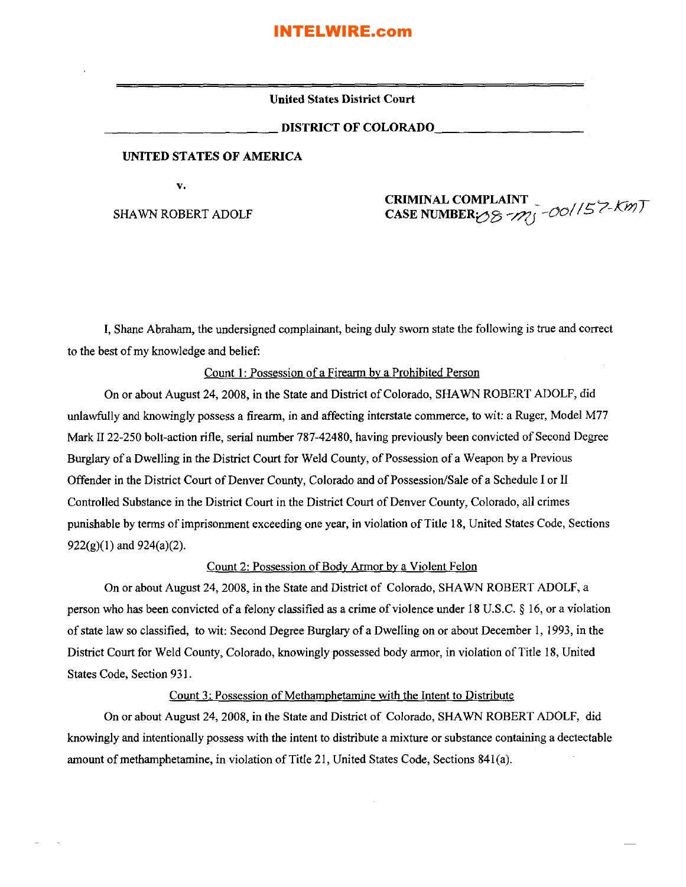**United States District Court**

\_\_\_\_\_\_\_\_\_\_ DlSTRICT **OF** COLORADO \_

#### **UNITED STATES OF AMERICA**

**v.**

SHAWN ROBERT ADOLF

#### **CRIMINAL COMPLAINT** CASE NUMBER $\gamma$ <sup>8</sup>  $\gamma$ <sup>1</sup> - 00<sup>1</sup>/5<sup>7</sup> - Km)

I, Shane Abraham, the undersigned complainant, being duly sworn state the following is true and correct to the best of my knowledge and belief:

#### Count 1: Possession of a Firearm by a Prohibited Person

On or about August 24, 2008, in the State and District of Colorado, SHAWN ROBERT ADOLF, did unlawfully and knowingly possess a firearm, in and affecting interstate commerce, to wit: a Ruger, Model M77 Mark II 22-250 bolt-action rifle, serial number 787-42480, having previously been convicted of Second Degree Burglary of a Dwelling in the District Court for Weld County, of Possession of a Weapon by a Previous Offender in the District Court of Denver County, Colorado and of Possession/Sale of a Schedule I or II Controlled Substance in the District Court in the District Court of Denver County, Colorado, all crimes punishable by terms ofimprisonment exceeding one year, in violation ofTitle 18, United States Code, Sections  $922(g)(1)$  and  $924(a)(2)$ .

#### Count 2: Possession of Body Armor by a Violent Felon

On or about August 24, 2008, in the State and District of Colorado, SHAWN ROBERT ADOLF, a person who has been convicted of a felony classified as a crime of violence under 18 U.S.C. § 16, or a violation ofstate law so classified, to wit: Second Degree Burglary of a Dwelling on or about December I, 1993, in the District Court for Weld County, Colorado, knowingly possessed body armor, in violation of Title 18, United States Code, Section 931.

#### Count 3: Possession of Methamphetamine with the Intent to Distribute

On or about August 24, 2008, in the State and District of Colorado, SHAWN ROBERT ADOLF, did knowingly and intentionally possess with the intent to distribute a mixture or substance containing a dectectable amount of methamphetamine, in violation of Title 21, United States Code, Sections  $841(a)$ .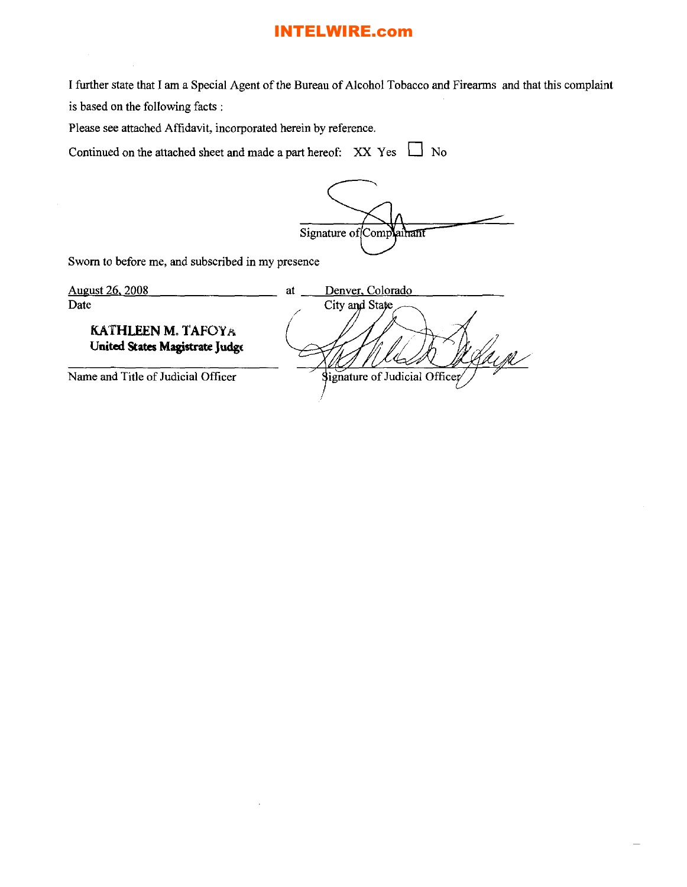I further state that I am a Special Agent of the Bureau of Alcohol Tobacco and Firearms and that this complaint is based on the following facts:

Please see attached Affidavit, incorporated herein by reference.

Continued on the attached sheet and made a part hereof:  $XX \text{ Yes}$   $\Box$  No

Signature of Complainant

Sworn to before me, and subscribed in my presence

| <u>August 26, 2008</u>                                      | Denver, Colorado<br>at        |
|-------------------------------------------------------------|-------------------------------|
| Date                                                        | City and State                |
| <b>KATHLEEN M. TAFOYA</b><br>United States Magistrate Judge |                               |
| Name and Title of Judicial Officer                          | Signature of Judicial Officer |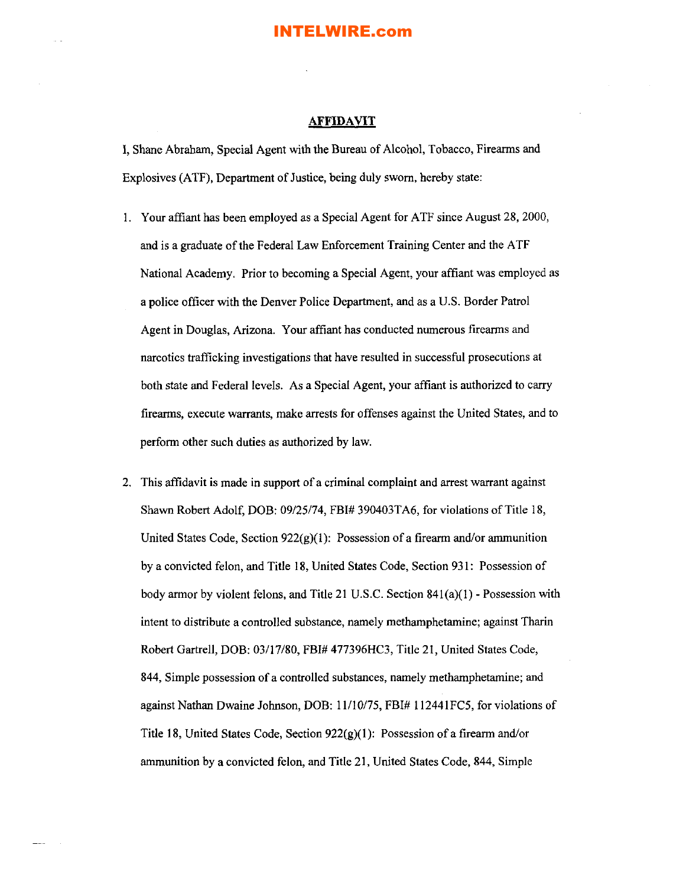#### **AFFIDAVIT**

I, Shane Abraham, Special Agent with the Bureau of Alcohol, Tobacco, Firearms and Explosives (ATF), Department of Justice, being duly sworn, hereby state:

- I. Your affiant has been employed as a Special Agent for ATF since August 28, 2000, and is a graduate of the Federal Law Enforcement Training Center and the ATF National Academy. Prior to becoming a Special Agent, your affiant was employed as a police officer with the Denver Police Department, and as a U.S. Border Patrol Agent in Douglas, Arizona. Your affiant has conducted numerous firearms and narcotics trafficking investigations that have resulted in successful prosecutions at both state and Federal levels. As a Special Agent, your affiant is authorized to carry firearms, execute warrants, make arrests for offenses against the United States, and to perform other such duties as authorized by law.
- 2. This affidavit is made in support of a criminal complaint and arrest warrant against Shawn Robert Adolf, DOB: 09/25/74, FBI# 390403TA6, for violations of Title 18, United States Code, Section  $922(g)(1)$ : Possession of a firearm and/or ammunition by a convicted felon, and Title 18, United States Code, Section 931: Possession of body armor by violent felons, and Title 21 U.S.C. Section 841(a)(l) - Possession with intent to distribute a controlled substance, namely methamphetamine; against Tharin Robert Gartrell, DOB: 03/17/80, FBI# 477396HC3, Title 21, United States Code, 844, Simple possession of a controlled substances, namely methamphetamine; and against Nathan Dwaine Johnson, DOB: 11/10/75, FBI# 112441FC5, for violations of Title 18, United States Code, Section  $922(g)(1)$ : Possession of a firearm and/or ammunition by a convicted felon, and Title 21, United States Code, 844, Simple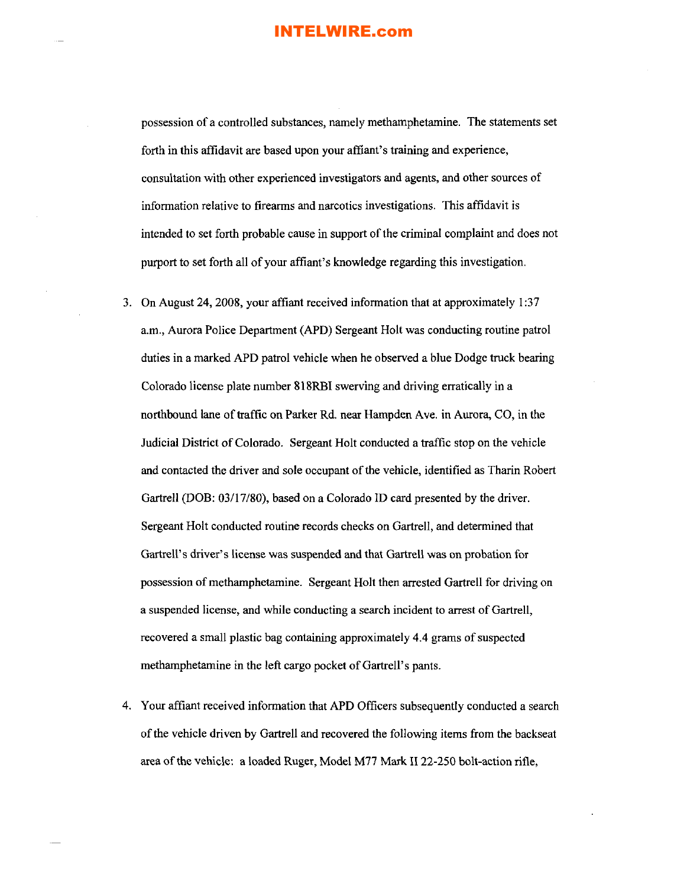possession of a controlled substances, namely methamphetamine. The statements set forth in this affidavit are based upon your affiant's training and experience, consultation with other experienced investigators and agents, and other sources of information relative to firearms and narcotics investigations. This affidavit is intended to set forth probable cause in support of the criminal complaint and does not purport to set forth all of your affiant's knowledge regarding this investigation.

- 3. On August 24, 2008, your affiant received information that at approximately 1:37 a.m., Aurora Police Department (APD) Sergeant Holt was conducting routine patrol duties in a marked APD patrol vehicle when he observed a blue Dodge truck bearing Colorado license plate number 818RBI swerving and driving erratically in a northbound lane of traffic on Parker Rd. near Hampden Ave. in Aurora, CO, in the Judicial District of Colorado. Sergeant Holt conducted a traffic stop on the vehicle and contacted the driver and sole occupant of the vehicle, identified as Tharin Robert Gartrell (DOB: 03/17/80), based on a Colorado ID card presented by the driver. Sergeant Holt conducted routine records checks on Gartrell, and determined that Gartrell's driver's license was suspended and that Gartrell was on probation for possession of methamphetamine. Sergeant Holt then arrested Gartrell for driving on a suspended license, and while conducting a search incident to arrest of Gartrell, recovered a small plastic bag containing approximately 4.4 grams of suspected methamphetamine in the left cargo pocket of Gartrell's pants.
- 4. Your affiant received information that APD Officers subsequently conducted a search ofthe vehicle driven by Gartrell and recovered the following items from the backseat area of the vehicle: a loaded Ruger, Model M77 Mark II 22-250 bolt-action rifle,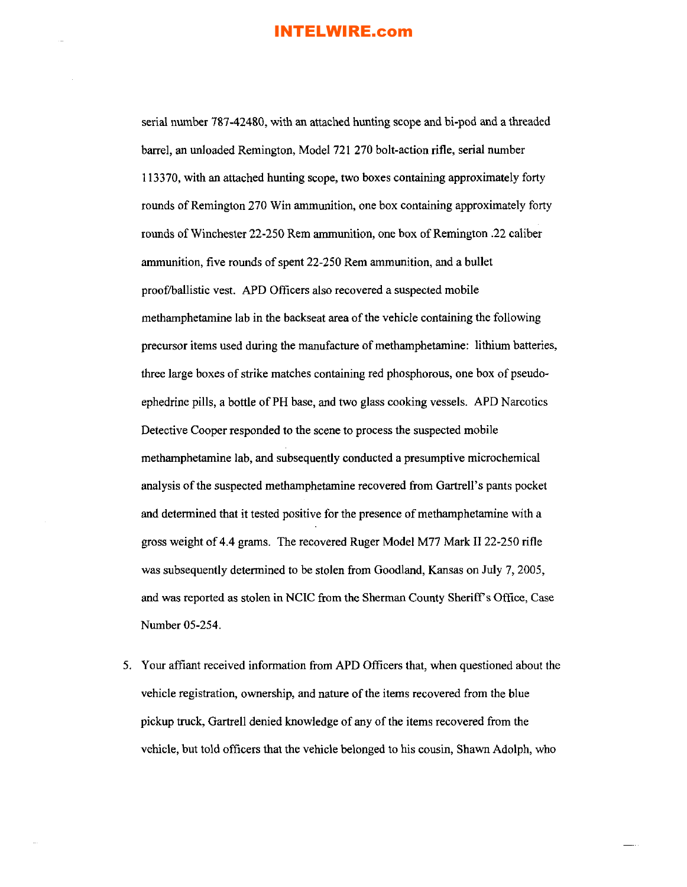serial number 787-42480, with an attached hunting scope and bi-pod and a threaded barrel, an unloaded Remington, Model 721 270 bolt-action rifle, serial number 113370, with an attached hunting scope, two boxes containing approximately forty rounds of Remington 270 Win ammunition, one box containing approximately forty rounds of Winchester 22-250 Rem ammunition, one box of Remington .22 caliber ammunition, five rounds of spent 22-250 Rem ammunition, and a bullet proof/ballistic vest. APD Officers also recovered a suspected mobile methamphetamine lab in the backseat area of the vehicle containing the following precursor items used during the manufacture of methamphetamine: lithium batteries, three large boxes of strike matches containing red phosphorous, one box of pseudoephedrine pills, a bottle of PH base, and two glass cooking vessels. APD Narcotics Detective Cooper responded to the scene to process the suspected mobile methamphetamine lab, and subsequently conducted a presumptive microchemical analysis of the suspected methamphetamine recovered from Gartrell's pants pocket and determined that it tested positive for the presence of methamphetamine with a gross weight of 4.4 grams. The recovered Ruger Model M77 Mark II 22-250 rifle was subsequently determined to be stolen from Goodland, Kansas on July 7, 2005, and was reported as stolen in NCIC from the Sherman County Sheriff's Office, Case Number 05-254.

5. Your affiant received information from APD Officers that, when questioned about the vehicle registration, ownership, and nature of the items recovered from the blue pickup truck, Gartrell denied knowledge of any of the items recovered from the vehicle, but told officers that the vehicle belonged to his cousin, Shawn Adolph, who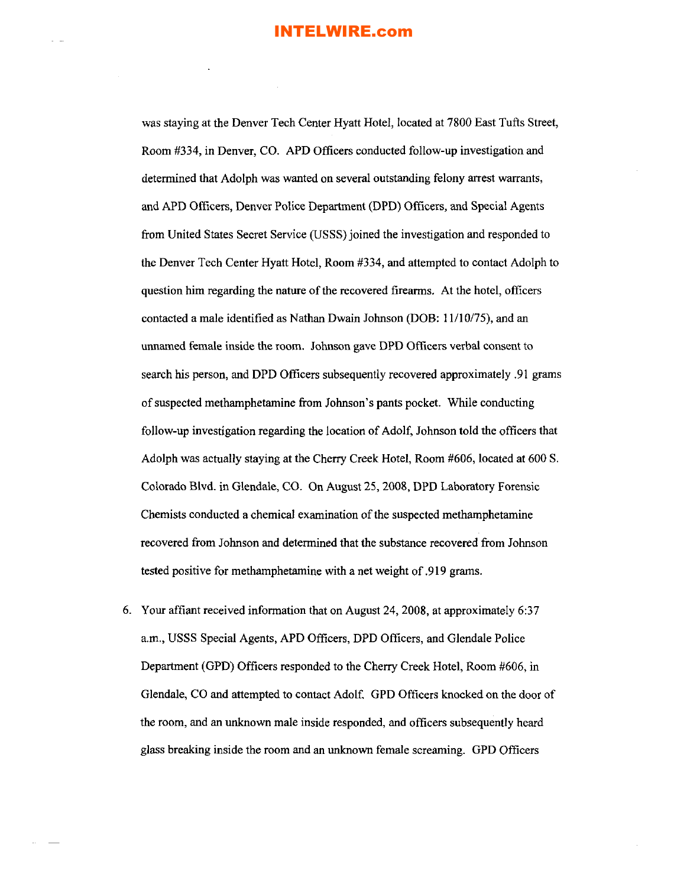was staying at the Denver Tech Center Hyatt Hotel, located at 7800 East Tufts Street, Room #334, in Denver, CO. APD Officers conducted follow-up investigation and determined that Adolph was wanted on several outstanding felony arrest warrants, and APD Officers, Denver Police Department (DPD) Officers, and Special Agents from United States Secret Service (USSS) joined the investigation and responded to the Denver Tech Center Hyatt Hotel, Room #334, and attempted to contact Adolph to question him regarding the nature of the recovered firearms. At the hotel, officers contacted a male identified as Nathan Dwain Johnson (DOB: 11/10/75), and an unnamed female inside the room. Johnson gave DPD Officers verbal consent to search his person, and DPD Officers subsequently recovered approximately .91 grams of suspected methamphetamine from Johnson's pants pocket. While conducting follow-up investigation regarding the location of Adolf, Johnson told the officers that Adolph was actually staying at the Cherry Creek Hotel, Room #606, located at 600 S. Colorado Blvd. in Glendale, CO. On August 25,2008, DPD Laboratory Forensic Chemists conducted a chemical examination of the suspected methamphetamine recovered from Johnson and determined that the substance recovered from Johnson tested positive for methamphetamine with a net weight of .919 grams.

6. Your affiant received information that on August 24, 2008, at approximately 6:37 a.m., USSS Special Agents, APD Officers, DPD Officers, and Glendale Police Department (GPD) Officers responded to the Cherry Creek Hotel, Room #606, in Glendale, CO and attempted to contact Adolf. GPD Officers knocked on the door of the room, and an unknown male inside responded, and officers subsequently heard glass breaking inside the room and an unknown female screaming. GPD Officers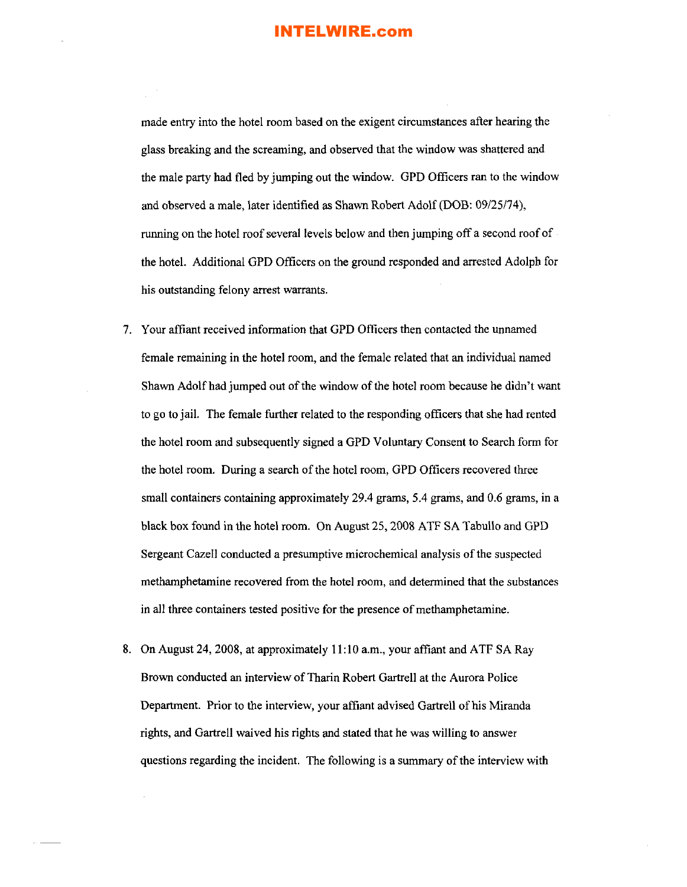made entry into the hotel room based on the exigent circumstances after hearing the glass breaking and the screaming, and observed that the window was shattered and the male party had fled by jumping out the window. GPO Officers ran to the window and observed a male, later identified as Shawn Robert Adolf (OOB: 09/25/74), running on the hotel roof several levels below and then jumping off a second roof of the hotel. Additional GPO Officers on the ground responded and arrested Adolph for his outstanding felony arrest warrants.

- 7. Your affiant received information that GPO Officers then contacted the unnamed female remaining in the hotel room, and the female related that an individual named Shawn Adolf had jumped out of the window of the hotel room because he didn't want to go to jail. The female further related to the responding officers that she had rented the hotel room and subsequently signed a GPO Voluntary Consent to Search form for the hotel room. During a search of the hotel room, GPD Officers recovered three small containers containing approximately 29.4 grams, 5.4 grams, and 0.6 grams, in a black box found in the hotel room. On August 25, 2008 ATF SA Tabullo and GPO Sergeant Cazell conducted a presumptive microchemical analysis of the suspected methamphetamine recovered from the hotel room, and determined that the substances in all three containers tested positive for the presence of methamphetamine.
- 8. On August 24, 2008, at approximately II: 10 a.m., your affiant and ATF SA Ray Brown conducted an interview of Tharin Robert Gartrell at the Aurora Police Department. Prior to the interview, your affiant advised Gartrell of his Miranda rights, and Gartrell waived his rights and stated that he was willing to answer questions regarding the incident. The following is a summary of the interview with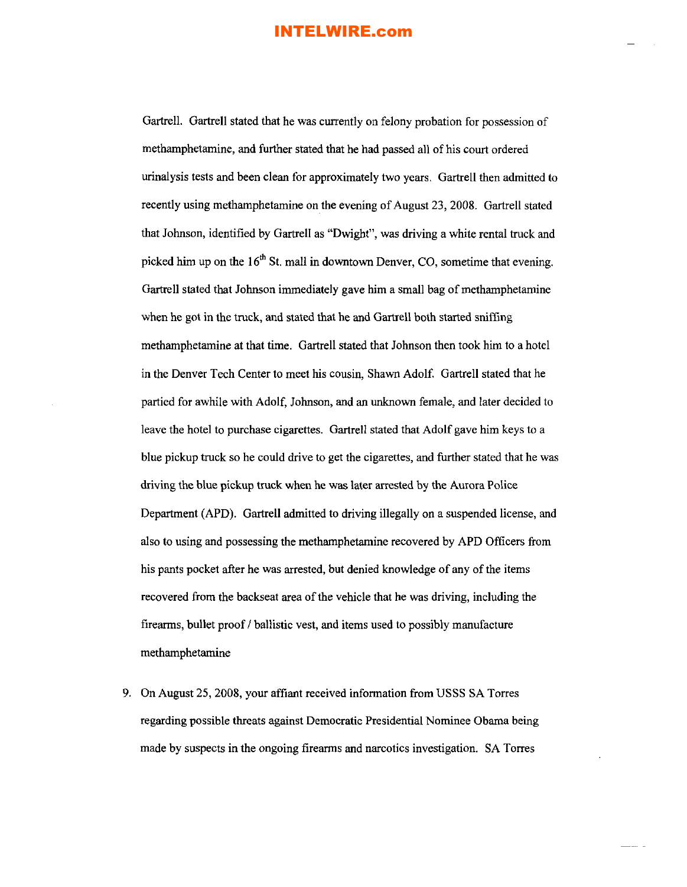Gartrell. Gartrell stated that he was currently on felony probation for possession of methamphetamine, and further stated that he had passed all of his court ordered urinalysis tests and been clean for approximately two years. Gartrell then admitted to recently using methamphetamine on the evening of August 23,2008. Gartrell stated that Johnson, identified by Gartrell as "DWight", was driving a white rental truck and picked him up on the  $16<sup>th</sup>$  St, mall in downtown Denver, CO, sometime that evening. Gartrell stated that Johnson immediately gave him a small bag of methamphetamine when he got in the truck, and stated that he and Gartrell both started sniffing methamphetamine at that time. Gartrell stated that Johnson then took him to a hotel in the Denver Tech Center to meet his cousin, Shawn Adolf. Gartrell stated that he partied for awhile with Adolf, Johnson, and an unknown female, and later decided to leave the hotel to purchase cigarettes. Gartrell stated that Adolf gave him keys to a blue pickup truck so he could drive to get the cigarettes, and further stated that he was driving the blue pickup truck when he was later arrested by the Aurora Police Department (APD). Gartrell admitted to driving illegally on a suspended license, and also to using and possessing the methamphetamine recovered by APD Officers from his pants pocket after he was arrested, but denied knowledge of any of the items recovered from the backseat area of the vehicle that he was driving, including the firearms, bullet proof / ballistic vest, and items used to possibly manufacture methamphetamine

9. On August 25,2008, your affiant received information from USSS SA Torres regarding possible threats against Democratic Presidential Nominee Obama being made by suspects in the ongoing firearms and narcotics investigation. SA Torres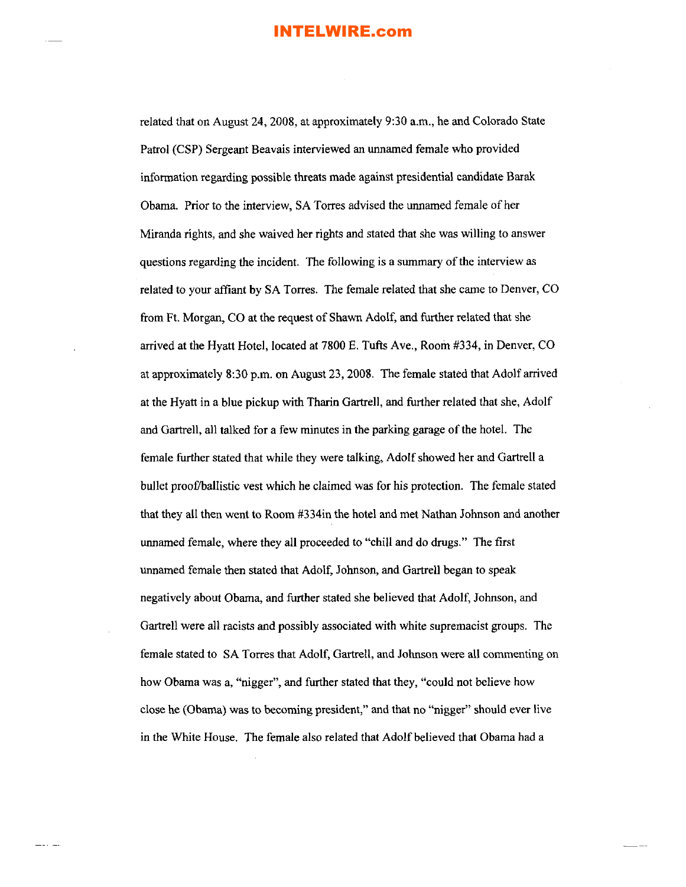related that on August 24, 2008, at approximately 9:30 a.m., he and Colorado State Patrol (CSP) Sergeant Beavais interviewed an unnamed female who provided information regarding possible threats made against presidential candidate Barak Obama. Prior to the interview, SA Torres advised the unnamed female of her Miranda rights, and she waived her rights and stated that she was willing to answer questions regarding the incident. The following is a summary of the interview as related to your affiant by SA Torres. The female related that she came to Denver, CO from Ft. Morgan, CO at the request of Shawn Adolf, and further related that she arrived at the Hyatt Hotel, located at 7800 E. Tufts Ave., Room #334, in Denver, CO at approximately 8:30 p.m. on August 23, 2008. The female stated that Adolf arrived at the Hyatt in a blue pickup with Tharin Gartrell, and further related that she, Adolf and Gartrell, all talked for a few minutes in the parking garage of the hotel. The female further stated that while they were talking, Adolf showed her and Gartrell a bullet proof/ballistic vest which he claimed was for his protection. The female stated that they all then went to Room #334in the hotel and met Nathan Johnson and another unnamed female, where they all proceeded to "chill and do drugs." The first unnamed female then stated that Adolf, Johnson, and Gartrell began to speak negatively about Obama, and further stated she believed that Adolf, Johnson, and Gartrell were all racists and possibly associated with white supremacist groups. The female stated to SA Torres that Adolf, Gartrell, and Johnson were all commenting on how Obama was a, "nigger", and further stated that they, "could not believe how close he (Obama) was to becoming president," and that no "nigger" should ever live in the White House. The female also related that Adolf believed that Obama had a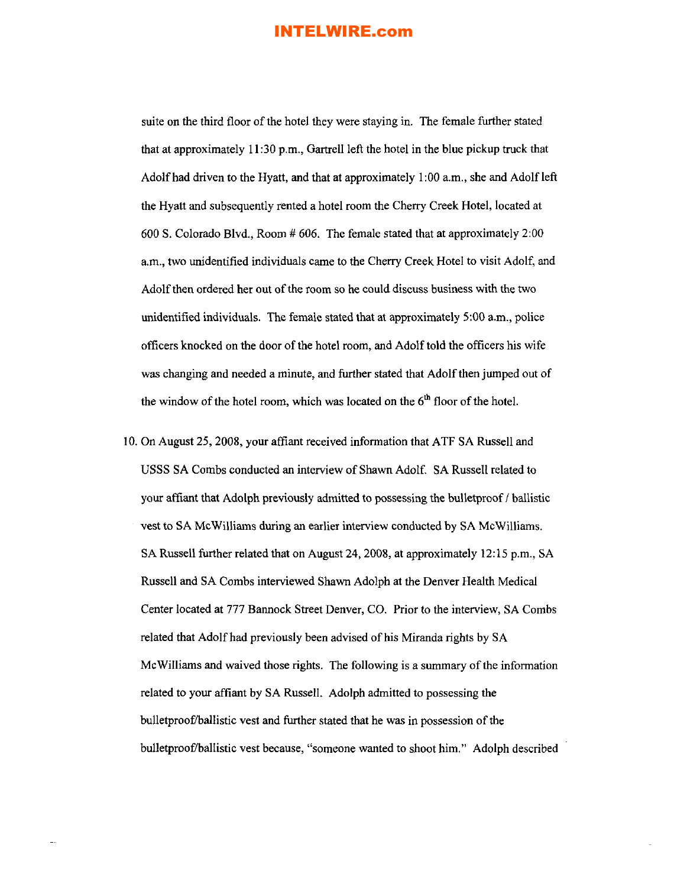suite on the third floor of the hotel they were staying in. The female further stated that at approximately **II**:30 p.m., Gartrell left the hotel in the blue pickup truck that Adolf had driven to the Hyatt, and that at approximately  $1:00$  a.m., she and Adolf left the Hyatt and subsequently rented a hotel room the Cherry Creek Hotel, located at 600 S. Colorado Blvd., Room # 606. The female stated that at approximately 2:00 a.m., two unidentified individuals came to the Cherry Creek Hotel to visit Adolf, and Adolf then ordered her out of the room so he could discuss business with the two unidentified individuals. The female stated that at approximately 5:00 a.m., police officers knocked on the door of the hotel room, and Adolf told the officers his wife was changing and needed a minute, and further stated that Adolf then jumped out of the window of the hotel room, which was located on the  $6<sup>th</sup>$  floor of the hotel.

10. On August 25, 2008, your affiant received information that ATF SA Russell and USSS SA Combs conducted an interview of Shawn Adolf. SA Russell related to your affiant that Adolph previously admitted to possessing the bulletproof / ballistic vest to SA McWilliams during an earlier interview conducted by SA McWilliams. SA Russell further related that on August 24, 2008, at approximately 12:15 p.m., SA Russell and SA Combs interviewed Shawn Adolph at the Denver Health Medical Center located at 777 Bannock Street Denver, CO. Prior to the interview, SA Combs related that Adolf had previously been advised of his Miranda rights by SA McWilliams and waived those rights. The following is a summary of the information related to your affiant by SA Russell. Adolph admitted to possessing the bullet proof/ballistic vest and further stated that he was in possession of the bulletproof/ballistic vest because, "someone wanted to shoot him." Adolph described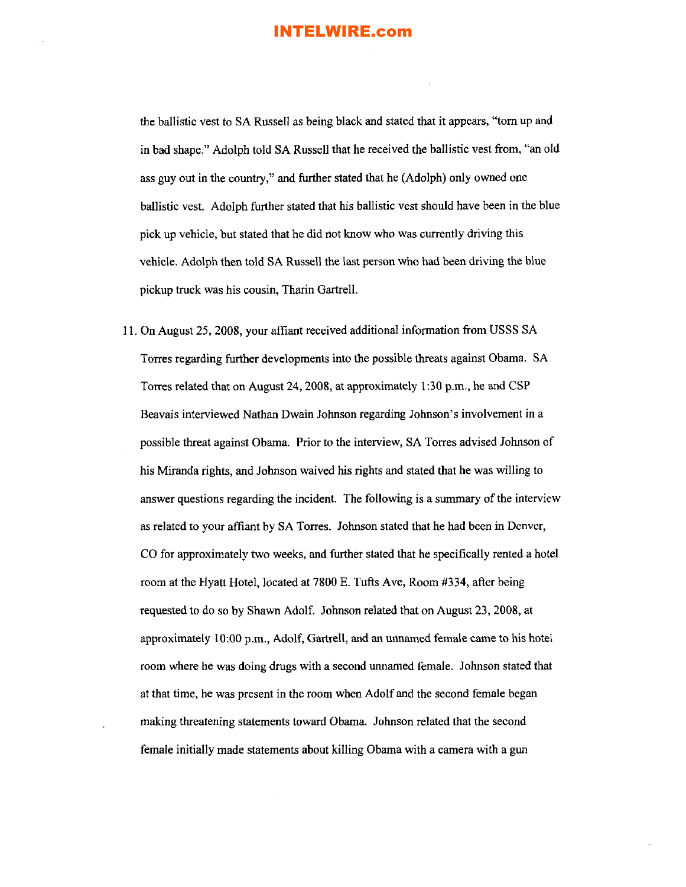the ballistic vest to SA Russell as being black and stated that it appears, "tom up and in bad shape." Adolph told SA Russell that he received the ballistic vest from, "an old ass guy out in the country," and further stated that he (Adolph) only owned one ballistic vest. Adolph further stated that his ballistic vest should have been in the blue pick up vehicle, but stated that he did not know who was currently driving this vehicle. Adolph then told SA Russell the last person who had been driving the blue pickup truck was his cousin, Tharin GartrelL

II. On August 25, 2008, your affiant received additional information from USSS SA Torres regarding further developments into the possible threats against Obama. SA Torres related that on August 24, 2008, at approximately 1:30 p.m., he and CSP Beavais interviewed Nathan Dwain Johnson regarding Johnson's involvement in a possible threat against Obama. Prior to the interview, SA Torres advised Johnson of his Miranda rights, and Johnson waived his rights and stated that he was willing to answer questions regarding the incident. The following is a summary of the interview as related to your affiant by SA Torres. Johnson stated that he had been in Denver, CO for approximately two weeks, and further stated that he specifically rented a hotel room at the Hyatt Hotel, located at 7800 E. Tufts Ave, Room #334, after being requested to do so by Shawn Adolf. Johnson related that on August 23, 2008, at approximately 10:00 p.m., Adolf, Gartrell, and an unnamed female came to his hotel room where he was doing drugs with a second unnamed female. Johnson stated that at that time, he was present in the room when Adolf and the second female began making threatening statements toward Obama. Johnson related that the second female initially made statements about killing Obama with a camera with a gun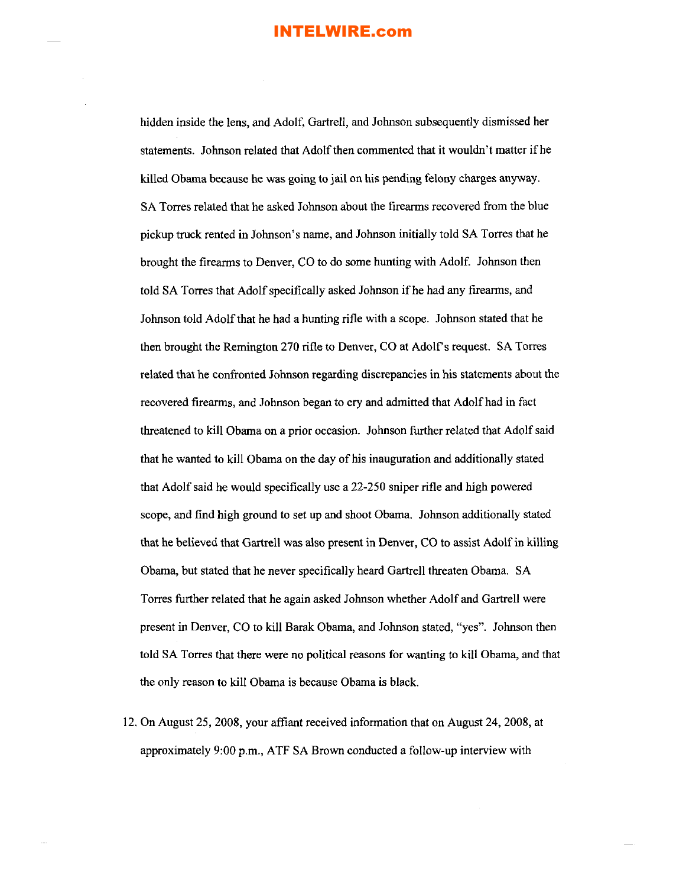hidden inside the lens, and Adolf, Gartrell, and Johnson subsequently dismissed her statements. Johnson related that Adolf then commented that it wouldn't matter if he killed Obama because he was going to jail on his pending felony charges anyway. SA Torres related that he asked Johnson about the firearms recovered from the blue pickup truck rented in Johnson's name, and Johnson initially told SA Torres that he brought the firearms to Denver, CO to do some hunting with Adolf. Johnson then told SA Torres that Adolf specifically asked Johnson if he had any firearms, and Johnson told Adolfthat he had a hunting rifle with a scope. Johnson stated that he then brought the Remington 270 rifle to Denver, CO at Adolfs request. SA Torres related that he confronted Johnson regarding discrepancies in his statements about the recovered firearms, and Johnson began to cry and admitted that Adolfhad in fact threatened to kill Obama on a prior occasion. Johnson further related that Adolfsaid that he wanted to kill Obama on the day of his inauguration and additionally stated that Adolf said he would specifically use a 22-250 sniper rifle and high powered scope, and find high ground to set up and shoot Obama. Johnson additionally stated that he believed that Gartrell was also present in Denver, CO to assist Adolf in killing Obama, but stated that he never specifically heard Gartrell threaten Obama. SA Torres further related that he again asked Johnson whether Adolf and Gartrell were present in Denver, CO to kill Barak Obama, and Johnson stated, "yes". Johnson then told SA Torres that there were no political reasons for wanting to kill Obama, and that the only reason to kill Obama is because Obama is black.

12. On August 25,2008, your affiant received information that on August 24,2008, at approximately 9:00 p.m., ATF SA Brown conducted a follow-up interview with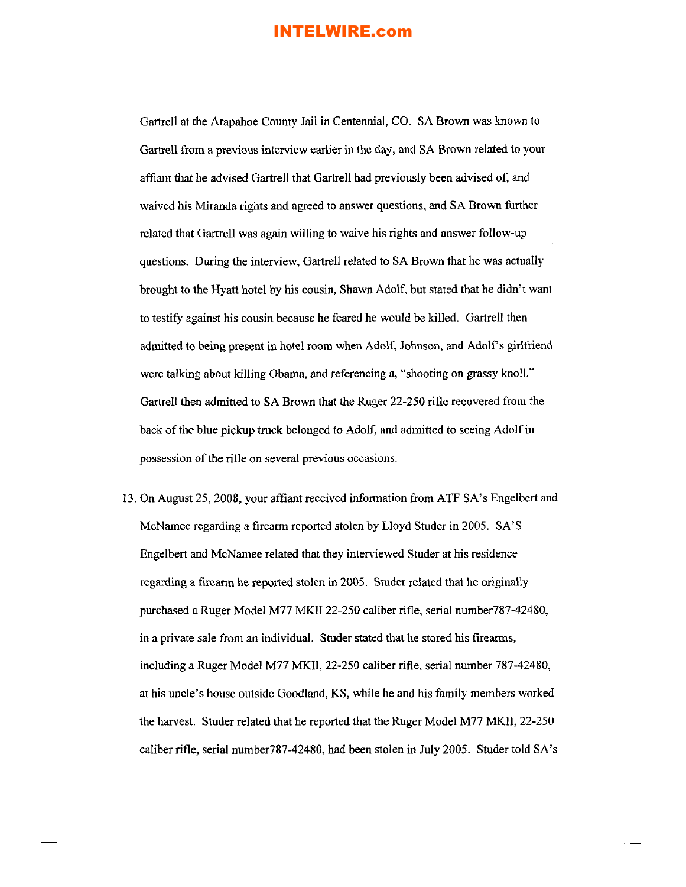Gartrell at the Arapahoe County Jail in Centennial, CO. SA Brown was known to Gartrell from a previous interview earlier in the day, and SA Brown related to your affiant that he advised Gartrell that Gartrell had previously been advised of, and waived his Miranda rights and agreed to answer questions, and SA Brown further related that Gartrell was again willing to waive his rights and answer follow-up questions. During the interview, Gartrell related to SA Brown that he was actually brought to the Hyatt hotel by his cousin, Shawn Adolf, but stated that he didn't want to testifY against his cousin because he feared he would be killed. Gartrell then admitted to being present in hotel room when Adolf, Johnson, and Adolf's girlfriend were talking about killing Obama, and referencing a, "shooting on grassy knoll." Gartrell then admitted to SA Brown that the Ruger 22-250 rifle recovered from the back of the blue pickup truck belonged to Adolf, and admitted to seeing Adolf in possession of the rifle on several previous occasions.

13. On August 25,2008, your affiant received information from ATF SA's Engelbert and McNamee regarding a firearm reported stolen by Lloyd Studer in 2005. SA'S Engelbert and McNamee related that they interviewed Studer at his residence regarding a firearm he reported stolen in 2005. Studer related that he originally purchased a Ruger Model M77 MKII 22-250 caliber rifle, serial number787-42480, in a private sale from an individual. Studer stated that he stored his firearms, including a Ruger Model M77 MKII, 22-250 caliber rifle, serial number 787-42480, at his uncle's house outside Goodland, KS, while he and his family members worked the harvest. Studer related that he reported that the Ruger Model M77 MKII, 22-250 caliber rifle, serial number787-42480, had been stolen in July 2005. Studer told SA's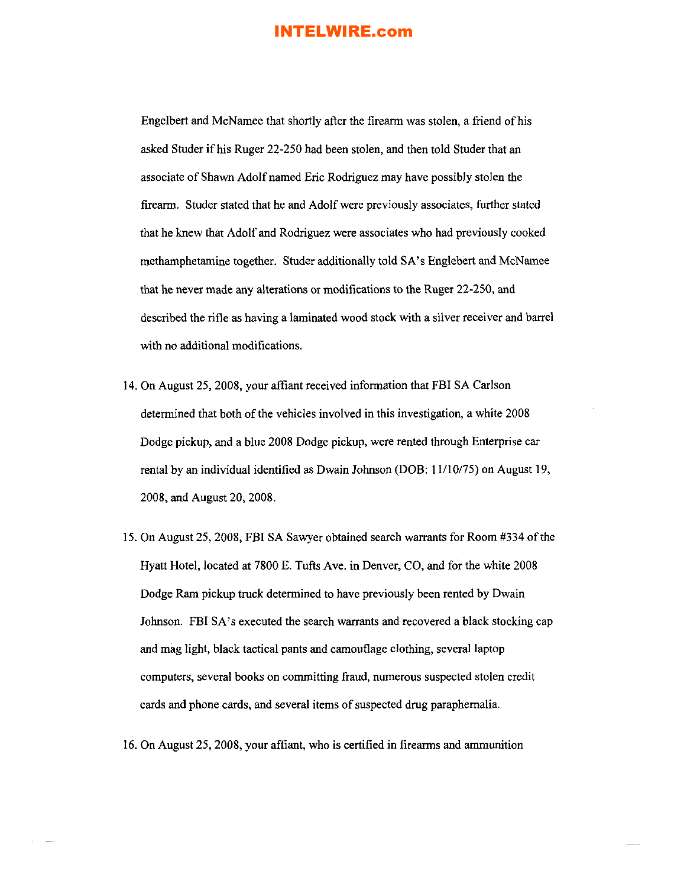Engelbert and McNamee that shortly after the firearm was stolen, a friend of his asked Studer if his Ruger 22-250 had been stolen, and then told Studer that an associate of Shawn Adolf named Eric Rodriguez may have possibly stolen the firearm. Studer stated that he and Adolf were previously associates, further stated that he knew that Adolf and Rodriguez were associates who had previously cooked methamphetamine together. Studer additionally told SA's Englebert and McNamee that he never made any alterations or modifications to the Ruger 22-250, and described the rifle as having a laminated wood stock with a silver receiver and barrel with no additional modifications.

- 14. On August 25,2008, your affiant received information that FBI SA Carlson determined that both of the vehicles involved in this investigation, a white 2008 Dodge pickup, and a blue 2008 Dodge pickup, were rented through Enterprise car rental by an individual identified as Dwain Johnson (DOB: 11110/75) on August 19, 2008, and August 20, 2008.
- 15. On August 25,2008, FBI SA Sawyer obtained search warrants for Room #334 ofthe Hyatt Hotel, located at 7800 E. Tufts Ave. in Denver, CO, and for the white 2008 Dodge Ram pickup truck determined to have previously been rented by Dwain Johnson. FBI SA's executed the search warrants and recovered a black stocking cap and mag light, black tactical pants and camouflage clothing, several laptop computers, several books on committing fraud, numerous suspected stolen credit cards and phone cards, and several items of suspected drug paraphernalia.
- 16. On August 25, 2008, your affiant, who is certified in firearms and ammunition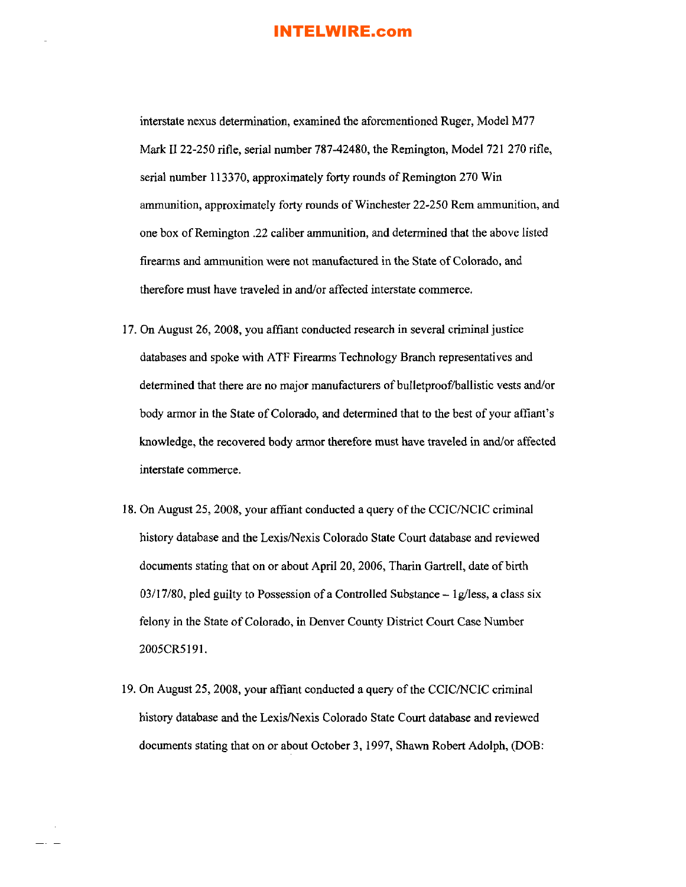interstate nexus determination, examined the aforementioned Ruger, Model M77 Mark II 22-250 rifle, serial number 787-42480, the Remington, Model 721 270 rifle, serial number 113370, approximately forty rounds of Remington 270 Win ammunition, approximately forty rounds of Winchester 22-250 Rem ammunition, and one box ofRemington .22 caliber ammunition, and determined that the above listed firearms and ammunition were not manufactured in the State of Colorado, and therefore must have traveled in and/or affected interstate commerce.

- 17. On August 26, 2008, you affiant conducted research in several criminal justice databases and spoke with ATF Firearms Technology Branch representatives and determined that there are no major manufacturers of bulletproof/ballistic vests and/or body armor in the State of Colorado, and determined that to the best of your affiant's knowledge, the recovered body armor therefore must have traveled in and/or affected interstate commerce.
- 18. On August 25, 2008, your affiant conducted a query of the CCIC/NCIC criminal history database and the Lexis/Nexis Colorado State Court database and reviewed documents stating that on or about April 20, 2006, Tharin Gartrell, date of birth 03/17/80, pled guilty to Possession of a Controlled Substance  $-1\frac{g}{\text{less}}$ , a class six felony in the State of Colorado, in Denver County District Court Case Number 2005CR5l91.
- 19. On August 25, 2008, your affiant conducted a query of the CCIC/NCIC criminal history database and the Lexis/Nexis Colorado State Court database and reviewed documents stating that on or about October 3, 1997, Shawn Robert Adolph, (DOB: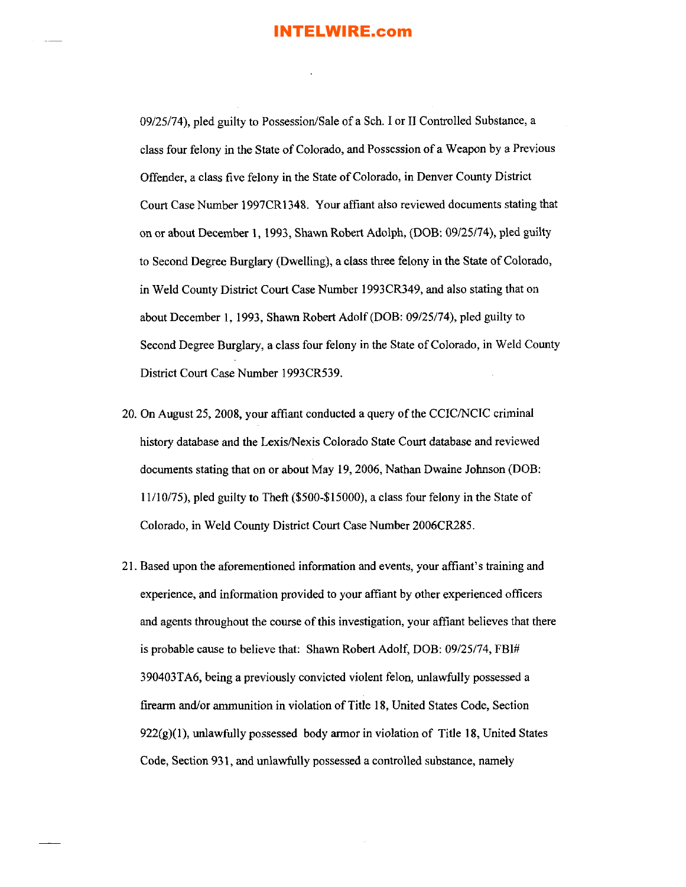09/25/74), pled guilty to Possession/Sale of a Sch. I or II Controlled Substance, a class four felony in the State of Colorado, and Possession of a Weapon by a Previous Offender, a class five felony in the State ofColorado, in Denver County District Court Case Number 1997CR1348. Your affiant also reviewed documents stating that on or about December 1, 1993, Shawn Robert Adolph, (DOB: 09/25/74), pled guilty to Second Degree Burglary (Dwelling), a class three felony in the State of Colorado, in Weld County District Court Case Number 1993CR349, and also stating that on about December **I,** 1993, Shawn Robert Adolf (DOB: 09/25/74), pled guilty to Second Degree Burglary, a class four felony in the State of Colorado, in Weld County District Court Case Number 1993CR539.

- 20. On August 25, 2008, your affiant conducted a query of the CCIC/NCIC criminal history database and the Lexis/Nexis Colorado State Court database and reviewed documents stating that on or about May 19,2006, Nathan Dwaine Johnson (DOB: 11/10/75), pled guilty to Theft (\$500-\$15000), a class four felony in the State of Colorado, in Weld County District Court Case Number 2006CR285.
- 21. Based upon the aforementioned information and events, your affiant's training and experience, and information provided to your affiant by other experienced officers and agents throughout the course of this investigation, your affiant believes that there is probable cause to believe that: Shawn Robert Adolf, DOB: 09/25/74, FBI# 390403TA6, being a previously convicted violent felon, unlawfully possessed a firearm and/or ammunition in violation of Title 18, United States Code, Section  $922(g)(1)$ , unlawfully possessed body armor in violation of Title 18, United States Code, Section 931, and unlawfully possessed a controlled substance, namely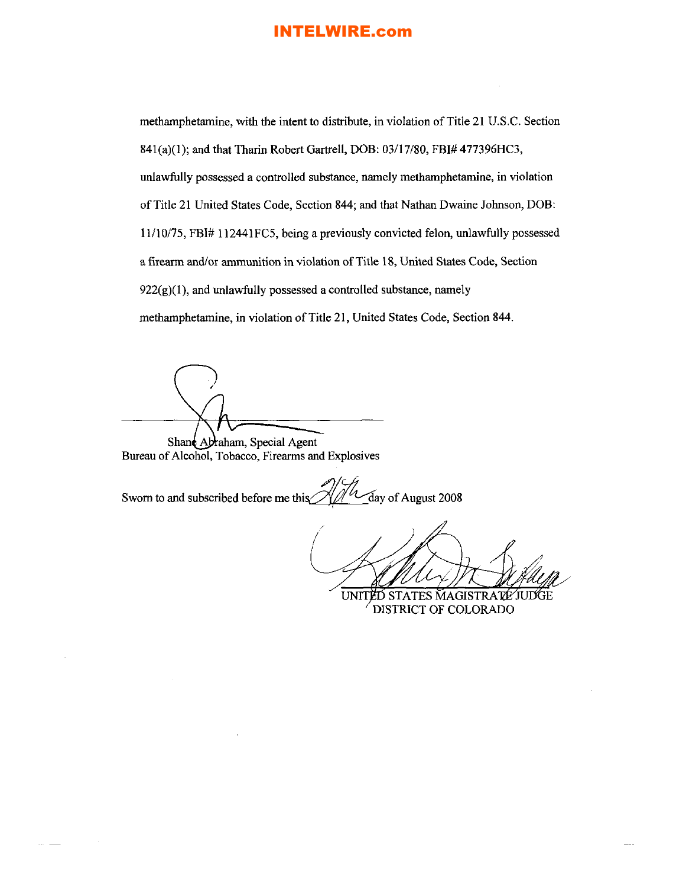methamphetamine, with the intent to distribute, in violation of Title 21 U.S.C. Section 841(a)(l); and that Tharin Robert Gartrell, DOB: 03/17/80, FBI# 477396HC3, unlawfully possessed a controlled substance, namely methamphetamine, in violation of Title 21 United States Code, Section 844; and that Nathan Dwaine Johnson, DOB: 11110175, FBl# 112441FC5, being a previously convicted felon, unlawfully possessed a firearm and/or ammunition in violation of Title 18, United States Code, Section  $922(g)(1)$ , and unlawfully possessed a controlled substance, namely methamphetamine, in violation of Title 21, United States Code, Section 844.

Shane Abraham, Special Agent Bureau of Alcohol, Tobacco, Firearms and Explosives

Sworn to and subscribed before me this  $\sqrt{\frac{1}{1-\alpha}}$  day of August 2008

(

**UNIT** ĔĎ STATES MAGISTRATE JUDGE DISTRICT OF COLORADO